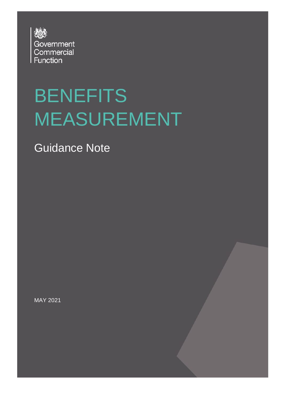

# BENEFITS MEASUREMENT

Guidance Note

MAY 2021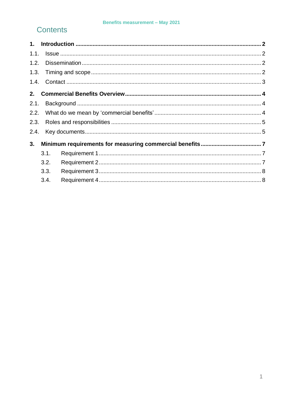#### **Benefits measurement - May 2021**

#### **Contents**

| 1.1. |      |  |  |
|------|------|--|--|
| 1.2. |      |  |  |
|      |      |  |  |
|      |      |  |  |
| 2.   |      |  |  |
| 2.1. |      |  |  |
|      |      |  |  |
| 2.3. |      |  |  |
| 2.4. |      |  |  |
| 3.   |      |  |  |
|      | 3.1. |  |  |
|      | 3.2. |  |  |
|      | 3.3. |  |  |
|      | 3.4. |  |  |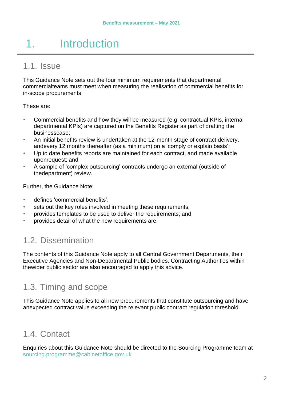# 1. Introduction

#### <span id="page-2-0"></span>1.1. Issue

This Guidance Note sets out the four minimum requirements that departmental commercialteams must meet when measuring the realisation of commercial benefits for in-scope procurements.

These are:

- Commercial benefits and how they will be measured (e.g. contractual KPIs, internal departmental KPIs) are captured on the Benefits Register as part of drafting the businesscase;
- An initial benefits review is undertaken at the 12-month stage of contract delivery, andevery 12 months thereafter (as a minimum) on a 'comply or explain basis';
- Up to date benefits reports are maintained for each contract, and made available uponrequest; and
- A sample of 'complex outsourcing' contracts undergo an external (outside of thedepartment) review.

Further, the Guidance Note:

- defines 'commercial benefits';
- sets out the key roles involved in meeting these requirements;
- provides templates to be used to deliver the requirements; and
- <span id="page-2-1"></span>• provides detail of what the new requirements are.

## 1.2. Dissemination

<span id="page-2-2"></span>The contents of this Guidance Note apply to all Central Government Departments, their Executive Agencies and Non-Departmental Public bodies. Contracting Authorities within thewider public sector are also encouraged to apply this advice.

## 1.3. Timing and scope

This Guidance Note applies to all new procurements that constitute outsourcing and have anexpected contract value exceeding the relevant public contract regulation threshold

#### 1.4. Contact

Enquiries about this Guidance Note should be directed to the Sourcing Programme team at [sourcing.programme@cabinetoffice.gov.uk](mailto:project.santiago@cabinetoffice.gov.uk)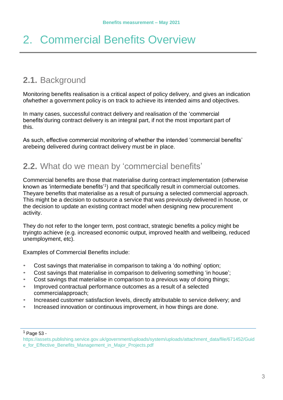## <span id="page-3-1"></span><span id="page-3-0"></span>2. Commercial Benefits Overview

### <span id="page-3-2"></span>**2.1.** Background

Monitoring benefits realisation is a critical aspect of policy delivery, and gives an indication ofwhether a government policy is on track to achieve its intended aims and objectives.

In many cases, successful contract delivery and realisation of the 'commercial benefits'during contract delivery is an integral part, if not the most important part of this.

<span id="page-3-3"></span>As such, effective commercial monitoring of whether the intended 'commercial benefits' arebeing delivered during contract delivery must be in place.

#### **2.2.** What do we mean by 'commercial benefits'

Commercial benefits are those that materialise during contract implementation (otherwise known as 'intermediate benefits'<sup>[1](#page-3-4)</sup>) and that specifically result in commercial outcomes. Theyare benefits that materialise as a result of pursuing a selected commercial approach. This might be a decision to outsource a service that was previously delivered in house, or the decision to update an existing contract model when designing new procurement activity.

They do not refer to the longer term, post contract, strategic benefits a policy might be tryingto achieve (e.g. increased economic output, improved health and wellbeing, reduced unemployment, etc).

Examples of Commercial Benefits include:

- Cost savings that materialise in comparison to taking a 'do nothing' option;
- Cost savings that materialise in comparison to delivering something 'in house';
- Cost savings that materialise in comparison to a previous way of doing things;
- Improved contractual performance outcomes as a result of a selected commercialapproach;
- Increased customer satisfaction levels, directly attributable to service delivery; and
- Increased innovation or continuous improvement, in how things are done.

<span id="page-3-4"></span> $<sup>1</sup>$  Page 53 -</sup>

[https://assets.publishing.service.gov.uk/government/uploads/system/uploads/attachment\\_data/file/671452/Guid](https://assets.publishing.service.gov.uk/government/uploads/system/uploads/attachment_data/file/671452/Guide_for_Effective_Benefits_Management_in_Major_Projects.pdf) [e\\_for\\_Effective\\_Benefits\\_Management\\_in\\_Major\\_Projects.pdf](https://assets.publishing.service.gov.uk/government/uploads/system/uploads/attachment_data/file/671452/Guide_for_Effective_Benefits_Management_in_Major_Projects.pdf)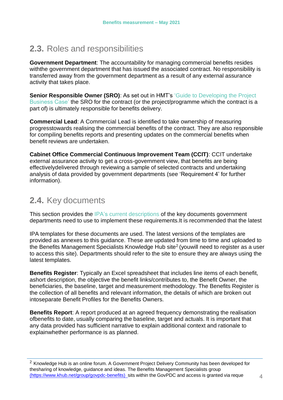## <span id="page-4-0"></span>**2.3.** Roles and responsibilities

**Government Department**: The accountability for managing commercial benefits resides withthe government department that has issued the associated contract. No responsibility is transferred away from the government department as a result of any external assurance activity that takes place.

**Senior Responsible Owner (SRO):** As set out in HMT's ['Guide to Developing the Project](https://assets.publishing.service.gov.uk/government/uploads/system/uploads/attachment_data/file/749086/Project_Business_Case_2018.pdf) [Business Case'](https://assets.publishing.service.gov.uk/government/uploads/system/uploads/attachment_data/file/749086/Project_Business_Case_2018.pdf) the SRO for the contract (or the project/programme which the contract is a part of) is ultimately responsible for benefits delivery.

**Commercial Lead**: A Commercial Lead is identified to take ownership of measuring progresstowards realising the commercial benefits of the contract. They are also responsible for compiling benefits reports and presenting updates on the commercial benefits when benefit reviews are undertaken.

**Cabinet Office Commercial Continuous Improvement Team (CCIT)**: CCIT undertake external assurance activity to get a cross-government view, that benefits are being effectivelydelivered through reviewing a sample of selected contracts and undertaking analysis of data provided by government departments (see 'Requirement 4' for further information).

## <span id="page-4-1"></span>**2.4.** Key documents

This section provides the IPA's current [descriptions](https://assets.publishing.service.gov.uk/government/uploads/system/uploads/attachment_data/file/671452/Guide_for_Effective_Benefits_Management_in_Major_Projects.pdf) of the key documents government departments need to use to implement these requirements.It is recommended that the latest

IPA templates for these documents are used. The latest versions of the templates are provided as annexes to this guidance. These are updated from time to time and uploaded to the Benefits Management Specialists Knowledge Hub site<sup>2</sup> (youwill need to register as a user to access this site). Departments should refer to the site to ensure they are always using the latest templates.

**Benefits Register**: Typically an Excel spreadsheet that includes line items of each benefit. ashort description, the objective the benefit links/contributes to, the Benefit Owner, the beneficiaries, the baseline, target and measurement methodology. The Benefits Register is the collection of all benefits and relevant information, the details of which are broken out intoseparate Benefit Profiles for the Benefits Owners.

**Benefits Report**: A report produced at an agreed frequency demonstrating the realisation ofbenefits to date, usually comparing the baseline, target and actuals. It is important that any data provided has sufficient narrative to explain additional context and rationale to explainwhether performance is as planned.

<span id="page-4-2"></span><sup>&</sup>lt;sup>2</sup> Knowledge Hub is an online forum. A Government Project Delivery Community has been developed for thesharing of knowledge, guidance and ideas. The Benefits Management Specialists group [\(https://www.khub.net/group/govpdc-benefits\) s]((https:/www.khub.net/group/govpdc-benefits))its within the GovPDC and access is granted via reque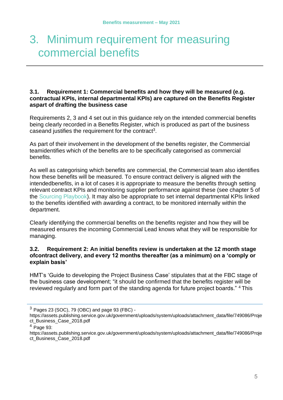# <span id="page-5-0"></span>3. Minimum requirement for measuring commercial benefits

#### <span id="page-5-1"></span>**3.1. Requirement 1: Commercial benefits and how they will be measured (e.g. contractual KPIs, internal departmental KPIs) are captured on the Benefits Register aspart of drafting the business case**

Requirements 2, 3 and 4 set out in this guidance rely on the intended commercial benefits being clearly recorded in a Benefits Register, which is produced as part of the business caseand justifies the requirement for the contract<sup>[3](#page-5-3)</sup>.

As part of their involvement in the development of the benefits register, the Commercial teamidentifies which of the benefits are to be specifically categorised as commercial benefits.

As well as categorising which benefits are commercial, the Commercial team also identifies how these benefits will be measured. To ensure contract delivery is aligned with the intendedbenefits, in a lot of cases it is appropriate to measure the benefits through setting relevant contract KPIs and monitoring supplier performance against these (see chapter 5 of the Sourcing [Playbook\).](https://www.gov.uk/government/publications/the-outsourcing-playbook) It may also be appropriate to set internal departmental KPIs linked to the benefits identified with awarding a contract, to be monitored internally within the department.

Clearly identifying the commercial benefits on the benefits register and how they will be measured ensures the incoming Commercial Lead knows what they will be responsible for managing.

#### <span id="page-5-2"></span>**3.2. Requirement 2: An initial benefits review is undertaken at the 12 month stage ofcontract delivery, and every 12 months thereafter (as a minimum) on a 'comply or explain basis'**

HMT's 'Guide to developing the Project Business Case' stipulates that at the FBC stage of the business case development; "it should be confirmed that the benefits register will be reviewed regularly and form part of the standing agenda for future project boards." <sup>[4](#page-5-4)</sup> This

<span id="page-5-4"></span> $4$  Page 93:

<span id="page-5-3"></span> $3$  Pages 23 (SOC), 79 (OBC) and page 93 (FBC) -

https://assets.publishing.service.gov.uk/government/uploads/system/uploads/attachment\_data/file/749086/Proje ct\_Business\_Case\_2018.pdf

https://assets.publishing.service.gov.uk/government/uploads/system/uploads/attachment\_data/file/749086/Proje ct\_Business\_Case\_2018.pdf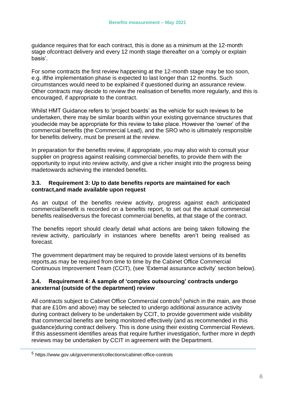guidance requires that for each contract, this is done as a minimum at the 12-month stage ofcontract delivery and every 12 month stage thereafter on a 'comply or explain basis'.

For some contracts the first review happening at the 12-month stage may be too soon, e.g. ifthe implementation phase is expected to last longer than 12 months. Such circumstances would need to be explained if questioned during an assurance review. Other contracts may decide to review the realisation of benefits more regularly, and this is encouraged, if appropriate to the contract.

Whilst HMT Guidance refers to 'project boards' as the vehicle for such reviews to be undertaken, there may be similar boards within your existing governance structures that youdecide may be appropriate for this review to take place. However the 'owner' of the commercial benefits (the Commercial Lead), and the SRO who is ultimately responsible for benefits delivery, must be present at the review.

In preparation for the benefits review, if appropriate, you may also wish to consult your supplier on progress against realising commercial benefits, to provide them with the opportunity to input into review activity, and give a richer insight into the progress being madetowards achieving the intended benefits.

#### <span id="page-6-0"></span>**3.3. Requirement 3: Up to date benefits reports are maintained for each contract,and made available upon request**

As an output of the benefits review activity, progress against each anticipated commercialbenefit is recorded on a benefits report, to set out the actual commercial benefits realisedversus the forecast commercial benefits, at that stage of the contract.

The benefits report should clearly detail what actions are being taken following the review activity, particularly in instances where benefits aren't being realised as forecast.

The government department may be required to provide latest versions of its benefits reports,as may be required from time to time by the Cabinet Office Commercial Continuous Improvement Team (CCIT), (see 'External assurance activity' section below).

#### <span id="page-6-1"></span>**3.4. Requirement 4: A sample of 'complex outsourcing' contracts undergo anexternal (outside of the department) review**

All contracts subject to Cabinet Office Commercial controls<sup>[5](#page-6-2)</sup> (which in the main, are those that are £10m and above) may be selected to undergo additional assurance activity during contract delivery to be undertaken by CCIT, to provide government wide visibility that commercial benefits are being monitored effectively (and as recommended in this guidance)during contract delivery. This is done using their existing Commercial Reviews. If this assessment identifies areas that require further investigation, further more in depth reviews may be undertaken by CCIT in agreement with the Department.

<span id="page-6-2"></span><sup>5</sup> https:/[/www.gov.uk/government/collections/cabinet-office-controls](http://www.gov.uk/government/collections/cabinet-office-controls)